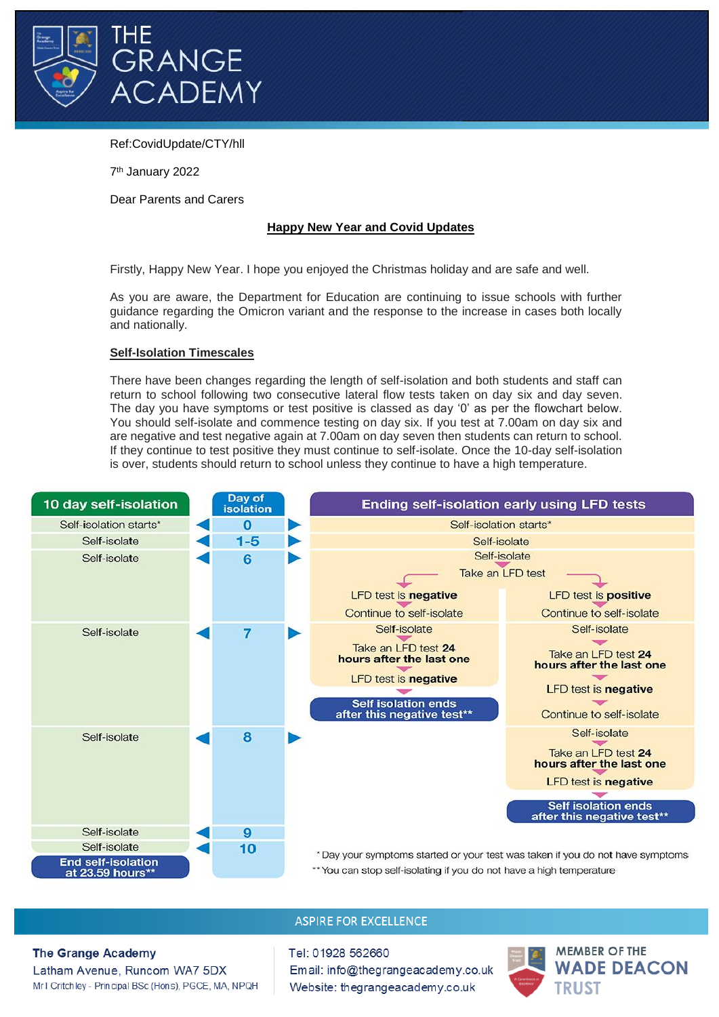

# Ref:CovidUpdate/CTY/hll

7 th January 2022

Dear Parents and Carers

### **Happy New Year and Covid Updates**

Firstly, Happy New Year. I hope you enjoyed the Christmas holiday and are safe and well.

As you are aware, the Department for Education are continuing to issue schools with further guidance regarding the Omicron variant and the response to the increase in cases both locally and nationally.

#### **Self-Isolation Timescales**

There have been changes regarding the length of self-isolation and both students and staff can return to school following two consecutive lateral flow tests taken on day six and day seven. The day you have symptoms or test positive is classed as day '0' as per the flowchart below. You should self-isolate and commence testing on day six. If you test at 7.00am on day six and are negative and test negative again at 7.00am on day seven then students can return to school. If they continue to test positive they must continue to self-isolate. Once the 10-day self-isolation is over, students should return to school unless they continue to have a high temperature.



\*\* You can stop self-isolating if you do not have a high temperature

# **ASPIRE FOR EXCELLENCE**

**The Grange Academy** 

Latham Avenue, Runcom WA7 5DX Mr I Critchley - Principal BSc (Hons), PGCE, MA, NPQH Tel: 01928 562660 Email: info@thegrangeacademy.co.uk Website: thegrangeacademy.co.uk